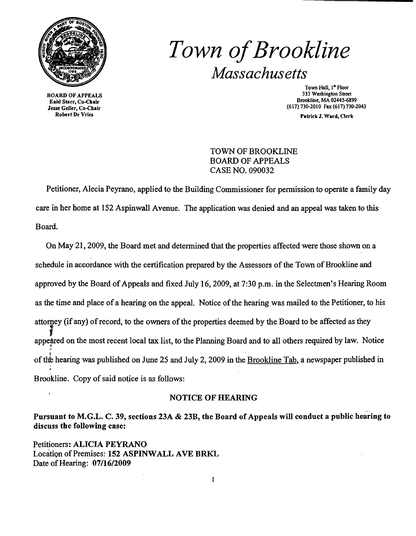

BOARD OF APPEALS Enid Starr, Co-Cbair Jesse Geller, Co-Chair Robert De Vries

## *Town ofBrookline Massachusetts*

Town Hall, 1<sup>x</sup> Floor 333 Wasbington Street Brookline, MA 02445-6899 (617)730-2010 Fax (617)730-2043

Patrick J. Ward, Oerk

TOWN OF BROOKLINE BOARD OF APPEALS CASE NO. 090032

Petitioner, Alecia Peyrano, applied to the Building Commissioner for permission to operate a family day care in her home at 152 Aspinwall Avenue. The application was denied and an appeal was taken to this Board.

On May 21, 2009, the Board met and determined that the properties affected were those shown on a schedule in accordance with the certification prepared by the Assessors of the Town of Brookline and approved by the Board of Appeals and fixed July 16, 2009, at 7:30 p.m. in the Selectmen's Hearing Room as the time and place of a hearing on the appeal. Notice of the hearing was mailed to the Petitioner, to his attorney (if any) of record, to the owners of the properties deemed by the Board to be affected as they ney<br>} appeared on the most recent local tax list, to the Planning Board and to all others required by law. Notice J. of the hearing was published on June 25 and July 2, 2009 in the <u>Brookline Tab</u>, a newspaper published in Brookline. Copy of said notice is as follows:

## NOTICE OF HEARING

Pursuant to M.G.L. C. 39, sections 23A & 23B, the Board of Appeals will conduct a public hearing to discuss the following case:

Petitioners: ALICIA PEYRANO Location of Premises: 152 ASPINWALL AVE BRKL Date of Hearing:  $07/16/2009$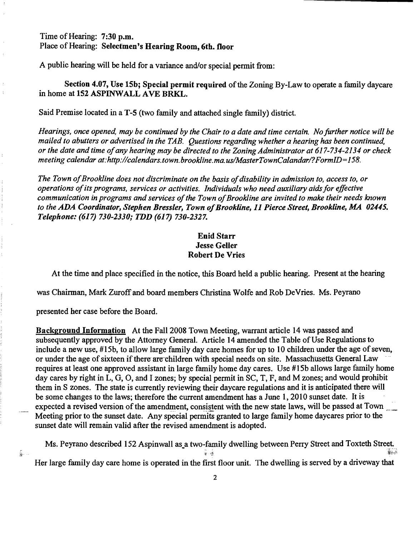Time of Hearing: 7:30 p.m. Place of Hearing: Selectmen's Hearing Room, 6th. floor

A public hearing will be held for a variance and/or special permit from:

Section 4.07, Use 15b; Special permit required of the Zoning By-Law to operate a family daycare in home at IS2 ASPINWALL AVE BRKL.

Said Premise located in a T-S (two family and attached single family) district.

*Hearings, once opened, may be continued by the Chair to a date and time certain. No further notice will be mailed to abutters or advertised in the TAB. Questions regarding whether a hearing has been continued, or the date and time ofany hearing may be directed to the Zoning Administrator at* 617-734-2134 *or check meeting calendar at:http://calendars.town.brookline.ma.usIMasterTownCalandarl?FormID=158.* 

The Town of Brookline does not discriminate on the basis of disability in admission to, access to, or *operations ofits programs, services or activities. Individuals who need auxiliary aidsfor effective communication in programs and services ofthe Town ofBrookline are invited to make their needs known to the* ADA *Coordinator, Stephen Bressler, Town ofBrookline,* 11 *Pierce Street, Brookline, MA 02445. Telephone:* (617) *730-2330;* TDD (617) *730-2327.* 

## Enid Starr Jesse Geller Robert De Vries

At the time and place specified in the notice, this Board held a public hearing. Present at the hearing

was Chairman, Mark Zuroff and board members Christina Wolfe and Rob DeVries. Ms. Peyrano

presented her case before the Board.

÷. ..

Background Information At the Fall 2008 Town Meeting, warrant article 14 was passed and subsequently approved by the Attorney General. Article 14 amended the Table of Use Regulations to include a new use, #15b, to allow large family day care homes for up to 10 children under the age of seven, or under the age of sixteen if there are children with special needs on site. Massachusetts General Law requires at least one approved assistant in large family home day cares. Use #I5b allows large family home day cares by right in L, G, 0, and I zones; by special permit in SC, T, F, and M zones; and would prohibit them in S zones. The state is currently reviewing their daycare regulations and it is anticipated there will be some changes to the laws; therefore the current amendment has a June 1,2010 sunset date. It is expected a revised version of the amendment, consistent with the new state laws, will be passed at Town Meeting prior to the sunset date. Any special permits granted to large family home daycares prior to the sunset date will remain valid after the revised amendment is adopted.

Ms. Peyrano described 152 Aspinwall as a two-family dwelling between Perry Street and Toxteth Street. - • ," '"f;:: -~. Her large family day care home is operated in the first floor unit. The dwelling is served by a driveway that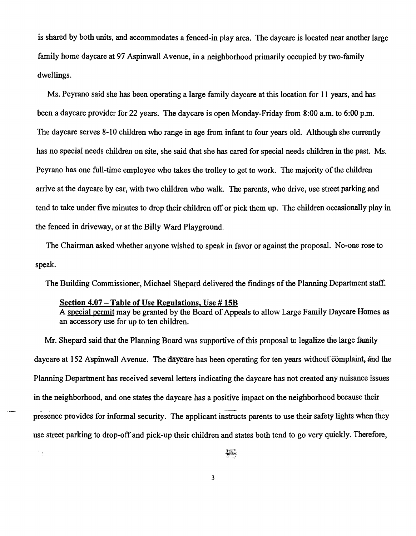is shared by both units, and accommodates a fenced-in play area. The daycare is located near another large family home daycare at 97 Aspinwall Avenue, in a neighborhood primarily occupied by two-family dwellings.

Ms. Peyrano said she has been operating a large family daycare at this location for 11 years, and has been a daycare provider for 22 years. The daycare is open Monday-Friday from 8:00 a.m. to 6:00 p.m. The daycare serves 8-10 children who range in age from infant to four years old. Although she currently has no special needs children on site, she said that she has cared for special needs children in the past. Ms. Peyrano has one full-time employee who takes the trolley to get to work. The majority of the children arrive at the daycare by car, with two children who walk. The parents, who drive, use street parking and tend to take under five minutes to drop their children offor pick them up. The children occasionally play in the fenced in driveway, or at the Billy Ward Playground.

The Chairman asked whether anyone wished to speak in favor or against the proposal. No-one rose to speak.

The Building Commissioner, Michael Shepard delivered the findings of the Planning Department staff.

## Section 4.07 – Table of Use Regulations, Use # 15B

 $\mathcal{C}_{\mathrm{d}}$ 

A special permit may be granted by the Board of Appeals to allow Large Family Daycare Homes as an accessory use for up to ten children.

Mr. Shepard said that the Planning Board was supportive of this proposal to legalize the large family daycare at 152 Aspinwall Avenue. The daycare has been operating for ten years without complaint, and the Planning Department has received several letters indicating the daycare has not created any nuisance issues in the neighborhood, and one states the daycare has a positive impact on the neighborhood because their presence provides for informal security. The applicant instructs parents to use their safety lights when they use street parking to drop-off and pick-up their children and states both tend to go very quickly. Therefore,

3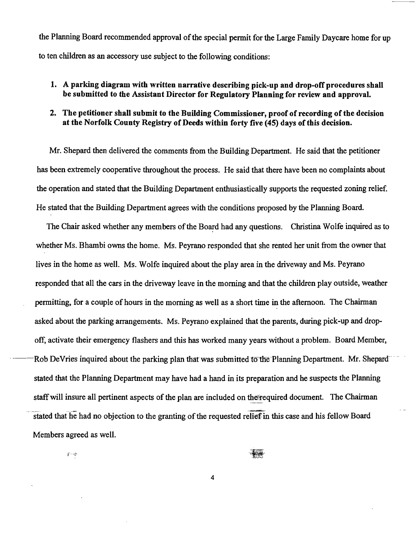the Planning Board recommended approval of the special permit for the Large Family Daycare home for up to ten children as an accessory use subject to the following conditions:

- 1. A parking diagram with written narrative describing pick-up and drop-off procedures shall be submitted to the Assistant Director for Regulatory Planning for review and approval.
- 2. The petitioner shall submit to the Building Commissioner, proof of recording of the decision at the Norfolk County Registry of Deeds within forty five (45) days of this decision.

Mr. Shepard then delivered the comments from the Building Department. He said that the petitioner has been extremely cooperative throughout the process. He said that there have been no complaints about the operation and stated that the Building Department enthusiastically supports the requested zoning relief. He stated that the Building Department agrees with the conditions proposed by the Planning Board.

The Chair asked whether any members of the Board had any questions. Christina Wolfe inquired as to whether Ms. Bhambi owns the home. Ms. Peyrano responded that she rented her unit from the owner that lives in the home as well. Ms. Wolfe inquired about the play area in the driveway and Ms. Peyrano responded that all the cars in the driveway leave in the morning and that the children play outside, weather permitting, for a couple of hours in the morning as well as a short time in the afternoon. The Chairman asked about the parking arrangements. Ms. Peyrano explained that the parents, during pick-up and dropoff, activate their emergency flashers and this has worked many years without a problem. Board Member, Rob DeVries inquired about the parking plan that was submitted to the Planning Department. Mr. Shepardstated that the Planning Department may have had a hand in its preparation and he suspects the Planning staff will insure all pertinent aspects of the plan are included on the required document. The Chairman stated that he had no objection to the granting of the requested relief in this case and his fellow Board Members agreed as well.

 $\frac{1}{2} \leq \frac{1}{2}$ 

本書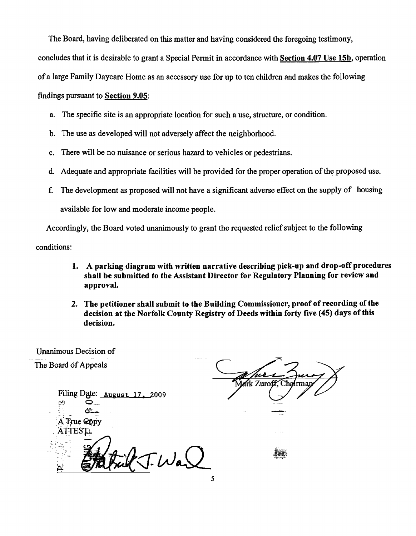The Board, having deliberated on this matter and having considered the foregoing testimony,

concludes that it is desirable to grant a Special Permit in accordance with Section 4.07 Use 15b, operation

of a large Family Daycare Home as an accessory use for up to ten children and makes the following

findings pursuant to Section 9.05:

- a. The specific site is an appropriate location for such a use, structure, or condition.
- b. The use as developed will not adversely affect the neighborhood.
- c. There will be no nuisance or serious hazard to vehicles or pedestrians.
- d. Adequate and appropriate facilities will be provided for the proper operation of the proposed use.
- f. The development as proposed will not have a significant adverse effect on the supply of housing available for low and moderate income people.

Accordingly, the Board voted unanimously to grant the requested relief subject to the following

conditions:

- 1. A parking diagram with written narrative describing pick-up and drop-off procedures shall be submitted to the Assistant Director for Regulatory Planning for review and approval.
- 2. The petitioner shall submit to the Building Commissioner, proof of recording of the decision at the Norfolk County Registry of Deeds within forty five (45) days of this decision.

Unanimous Decision of The Board of Appeals

> Filing Date: August 17, 2009  $\sim$ C/:.. - .. .,. A True Copy *ABESkJA* <sup>11</sup>  $\sqrt{\cdot}$  Was

Lark Zuroff.